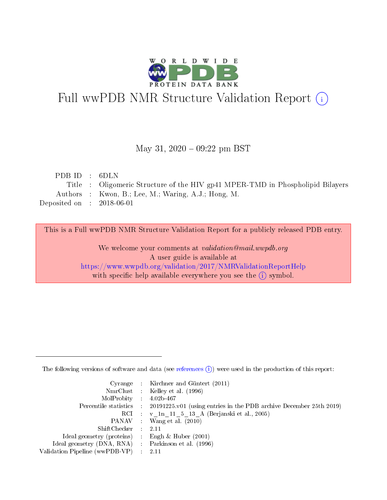

# Full wwPDB NMR Structure Validation Report (i)

## May 31,  $2020 - 09:22$  pm BST

| PDB ID : $6DLN$             |                                                                                |
|-----------------------------|--------------------------------------------------------------------------------|
|                             | Title : Oligomeric Structure of the HIV gp41 MPER-TMD in Phospholipid Bilayers |
|                             | Authors : Kwon, B.; Lee, M.; Waring, A.J.; Hong, M.                            |
| Deposited on : $2018-06-01$ |                                                                                |

This is a Full wwPDB NMR Structure Validation Report for a publicly released PDB entry.

We welcome your comments at *validation@mail.wwpdb.org* A user guide is available at <https://www.wwpdb.org/validation/2017/NMRValidationReportHelp> with specific help available everywhere you see the  $(i)$  symbol.

The following versions of software and data (see [references](https://www.wwpdb.org/validation/2017/NMRValidationReportHelp#references)  $(1)$ ) were used in the production of this report:

|                                                     | Cyrange : Kirchner and Güntert $(2011)$                                                    |
|-----------------------------------------------------|--------------------------------------------------------------------------------------------|
|                                                     | NmrClust : Kelley et al. (1996)                                                            |
| $MolProbability$ 4.02b-467                          |                                                                                            |
|                                                     | Percentile statistics : 20191225.v01 (using entries in the PDB archive December 25th 2019) |
|                                                     | RCI : v 1n 11 5 13 A (Berjanski et al., 2005)                                              |
|                                                     | PANAV Wang et al. (2010)                                                                   |
| $ShiftChecker$ 2.11                                 |                                                                                            |
| Ideal geometry (proteins) : Engh $\&$ Huber (2001)  |                                                                                            |
| Ideal geometry (DNA, RNA) : Parkinson et al. (1996) |                                                                                            |
| Validation Pipeline (wwPDB-VP)                      | $\sim 2.11$                                                                                |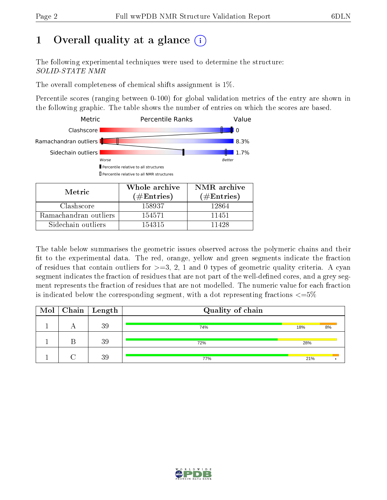# 1 [O](https://www.wwpdb.org/validation/2017/NMRValidationReportHelp#overall_quality)verall quality at a glance (i)

The following experimental techniques were used to determine the structure: SOLID-STATE NMR

The overall completeness of chemical shifts assignment is 1%.

Percentile scores (ranging between 0-100) for global validation metrics of the entry are shown in the following graphic. The table shows the number of entries on which the scores are based.



The table below summarises the geometric issues observed across the polymeric chains and their fit to the experimental data. The red, orange, yellow and green segments indicate the fraction of residues that contain outliers for  $>=3, 2, 1$  and 0 types of geometric quality criteria. A cyan segment indicates the fraction of residues that are not part of the well-defined cores, and a grey segment represents the fraction of residues that are not modelled. The numeric value for each fraction is indicated below the corresponding segment, with a dot representing fractions  $\epsilon = 5\%$ 

| Mol | $\boxed{\text{Chain}}$ Length | Quality of chain |     |    |
|-----|-------------------------------|------------------|-----|----|
|     | 39                            | 74%              | 18% | 8% |
|     | 39                            | 72%              | 28% |    |
|     | 39                            | 77%              | 21% |    |

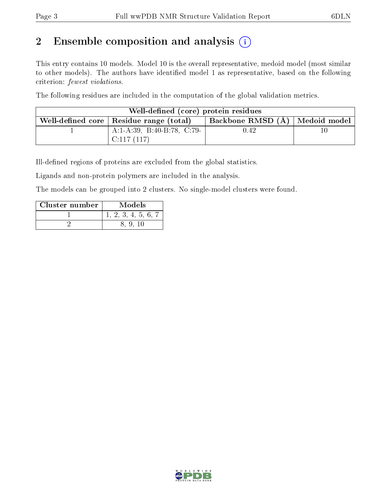# 2 Ensemble composition and analysis  $(i)$

This entry contains 10 models. Model 10 is the overall representative, medoid model (most similar to other models). The authors have identified model 1 as representative, based on the following criterion: fewest violations.

The following residues are included in the computation of the global validation metrics.

| Well-defined (core) protein residues |                                           |                                    |  |  |  |  |  |  |  |
|--------------------------------------|-------------------------------------------|------------------------------------|--|--|--|--|--|--|--|
|                                      | Well-defined core   Residue range (total) | Backbone RMSD $(A)$   Medoid model |  |  |  |  |  |  |  |
|                                      | $A:1-A:39$ , B:40-B:78, C:79-             | 0.42                               |  |  |  |  |  |  |  |
|                                      | C:117(117)                                |                                    |  |  |  |  |  |  |  |

Ill-defined regions of proteins are excluded from the global statistics.

Ligands and non-protein polymers are included in the analysis.

The models can be grouped into 2 clusters. No single-model clusters were found.

| Cluster number | Models        |
|----------------|---------------|
|                | 2, 3, 4, 5, 6 |
|                |               |

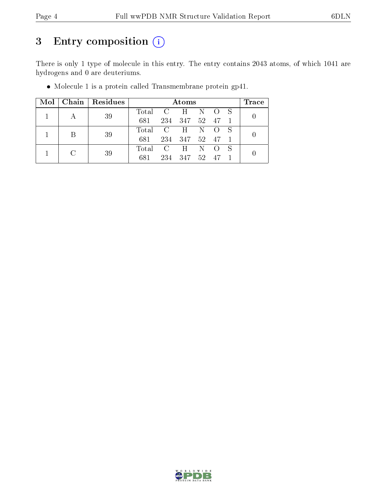# 3 Entry composition (i)

There is only 1 type of molecule in this entry. The entry contains 2043 atoms, of which 1041 are hydrogens and 0 are deuteriums.

| Mol |        | Chain   Residues | Atoms           |                         |              |                 |       |  |                  |  |  |
|-----|--------|------------------|-----------------|-------------------------|--------------|-----------------|-------|--|------------------|--|--|
|     |        | 39               | Total C H       |                         |              |                 | N O S |  | $\left( \right)$ |  |  |
|     |        |                  | 681             |                         | 234 347      | $52-$           | 47    |  |                  |  |  |
|     | B      | 39               | Total C H N O S |                         |              |                 |       |  | $\left( \right)$ |  |  |
|     |        |                  | 681             |                         | 234 347 52   |                 | 47 1  |  |                  |  |  |
|     | $\cap$ | 39               | Total           | $\overline{\mathbf{C}}$ | $\mathbf{H}$ | $N$ O           |       |  |                  |  |  |
|     |        |                  | 681             |                         | 234 347      | 52 <sub>z</sub> |       |  |                  |  |  |

Molecule 1 is a protein called Transmembrane protein gp41.

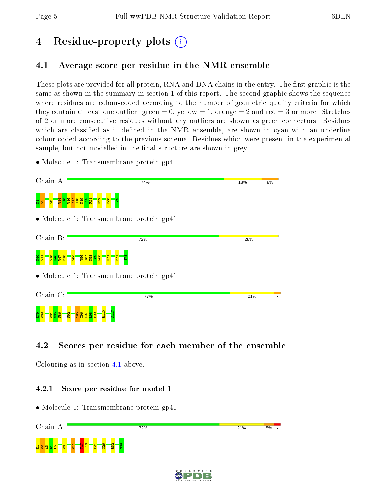# 4 Residue-property plots  $\binom{1}{1}$

# <span id="page-4-0"></span>4.1 Average score per residue in the NMR ensemble

These plots are provided for all protein, RNA and DNA chains in the entry. The first graphic is the same as shown in the summary in section 1 of this report. The second graphic shows the sequence where residues are colour-coded according to the number of geometric quality criteria for which they contain at least one outlier: green  $= 0$ , yellow  $= 1$ , orange  $= 2$  and red  $= 3$  or more. Stretches of 2 or more consecutive residues without any outliers are shown as green connectors. Residues which are classified as ill-defined in the NMR ensemble, are shown in cyan with an underline colour-coded according to the previous scheme. Residues which were present in the experimental sample, but not modelled in the final structure are shown in grey.

• Molecule 1: Transmembrane protein gp41



# 4.2 Scores per residue for each member of the ensemble

Colouring as in section [4.1](#page-4-0) above.

## 4.2.1 Score per residue for model 1



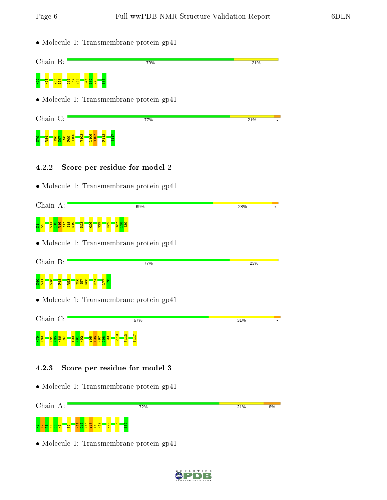- Molecule 1: Transmembrane protein gp41 Chain B: 79% 21%  $\frac{1}{3}$   $\frac{3}{2}$   $\frac{3}{2}$   $\frac{3}{2}$   $\frac{3}{2}$   $\frac{3}{2}$  $\frac{66}{66}$  $\overline{181}$ V68 R71  $E_{\parallel}$  $\mathbb{F}^2$ S78 • Molecule 1: Transmembrane protein gp41 Chain C: 77% 21% I100 V103 L106 V107 F113 S117 <u>g 1<mark>8</mark> ba</u>g 8  $\frac{6}{5}$ 4.2.2 Score per residue for model 2 • Molecule 1: Transmembrane protein gp41 Chain A: 69% 28% t <mark>a Li</mark>nda I18 K19  $\frac{23}{2}$  $\frac{26}{5}$  $\frac{29}{2}$  $\frac{22}{2}$ V37  $\frac{8}{2}$  $\frac{3}{2}$ • Molecule 1: Transmembrane protein gp41 Chain B: 77% 23% F74 8 달 <mark>- 달 - 운</mark>  $\frac{1}{2}$ Y56 I57 K58  $\overline{17}$ S78 • Molecule 1: Transmembrane protein gp41 Chain C: 67% 31% R110 F113 S117 K79 W80 W84 N85 W86 F87  $\frac{8}{2}$  $\frac{1}{2}$  $\frac{8}{26}$  $\frac{8}{10}$  $\frac{16}{2}$  $\frac{8}{2}$  $\frac{8}{56}$ N91 4.2.3 Score per residue for model 3 • Molecule 1: Transmembrane protein gp41 Chain A: 72% 21%  $8%$
- Molecule 1: Transmembrane protein gp41

tz <mark>일</mark> 역 명 <mark>명</mark> 명

 $\mathbf{e}$ W14  $\frac{16}{11}$ W16 Y17 I18 K19 V29  $\frac{1}{25}$  $\frac{3}{2}$ 

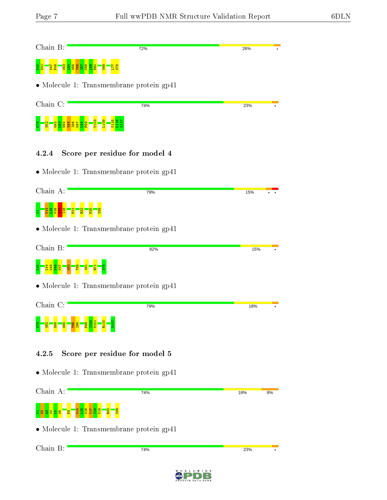| Chain B:                                                                                                               | 72%                                              | 26%       |
|------------------------------------------------------------------------------------------------------------------------|--------------------------------------------------|-----------|
|                                                                                                                        |                                                  |           |
|                                                                                                                        | • Molecule 1: Transmembrane protein gp41         |           |
| Chain C:                                                                                                               | 74%                                              | 23%       |
| <u> 485<br/>1964</u>                                                                                                   |                                                  |           |
| 4.2.4                                                                                                                  | Score per residue for model 4                    |           |
|                                                                                                                        | $\bullet$ Molecule 1: Transmembrane protein gp41 |           |
| Chain A:                                                                                                               | 79%                                              | 15%       |
|                                                                                                                        |                                                  |           |
|                                                                                                                        | $\bullet$ Molecule 1: Transmembrane protein gp41 |           |
| Chain B:                                                                                                               | 82%                                              | 15%       |
|                                                                                                                        |                                                  |           |
|                                                                                                                        | $\bullet$ Molecule 1: Transmembrane protein gp41 |           |
| Chain C:                                                                                                               | 79%                                              | 18%       |
| EN <u>y en en angles en 1950</u> en 1960 en 1970 en 1970 en 1970 en 1970 en 1970 en 1970 en 1970 en 1970 en 1970 en 19 |                                                  |           |
| 4.2.5                                                                                                                  | Score per residue for model 5                    |           |
|                                                                                                                        | $\bullet$ Molecule 1: Transmembrane protein gp41 |           |
| Chain A:                                                                                                               | 74%                                              | 18%<br>8% |
|                                                                                                                        |                                                  |           |
|                                                                                                                        | $\bullet$ Molecule 1: Transmembrane protein gp41 |           |
| Chain B:                                                                                                               | 74%                                              | 23%       |
|                                                                                                                        |                                                  |           |

WORLDWIDE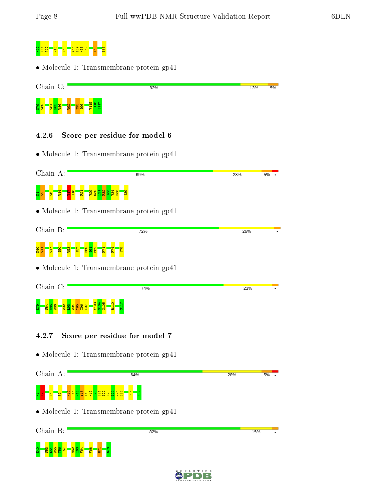

• Molecule 1: Transmembrane protein gp41

| Chain C:                                                               | 82% | 13% | 5% |
|------------------------------------------------------------------------|-----|-----|----|
| $\frac{58}{624}$<br><b>O</b><br>$\sim$<br>801<br>1961<br>⊣<br>×<br>-to |     |     |    |

### 4.2.6 Score per residue for model 6

• Molecule 1: Transmembrane protein gp41

| Chain A:                                                     | 69%                                                 | 23%<br>5% |
|--------------------------------------------------------------|-----------------------------------------------------|-----------|
| $\overline{5}$                                               | <mark>ន្ត្រី នី ង្ក ង្ក ង្ក ង្ក្</mark><br><b>B</b> |           |
|                                                              | • Molecule 1: Transmembrane protein gp41            |           |
| Chain B:                                                     | 72%                                                 | 26%       |
| <b>PO</b><br>EG1<br>N <sub>162</sub><br>ыq<br>ĩΩ,            |                                                     |           |
|                                                              | $\bullet$ Molecule 1: Transmembrane protein gp41    |           |
| Chain C:                                                     | 74%                                                 | 23%       |
| 4<br>3<br><b>PLI</b><br>0<br><b><u> 2885</u></b><br>S.<br>္တ |                                                     |           |
|                                                              | Seem non nooidus for model $\overline{7}$           |           |

## 4.2.7 Score per residue for model 7

• Molecule 1: Transmembrane protein gp41



| Chain B:                                                                                       | 82%                       | 15% |
|------------------------------------------------------------------------------------------------|---------------------------|-----|
| <b>GBX</b><br>$\frac{1}{8}$<br>$\overline{\mathbf{N}}$<br>1 H<br>롰<br>$\infty$<br>ь<br>œ<br>m. | $\infty$<br>Ē<br>$\sigma$ |     |

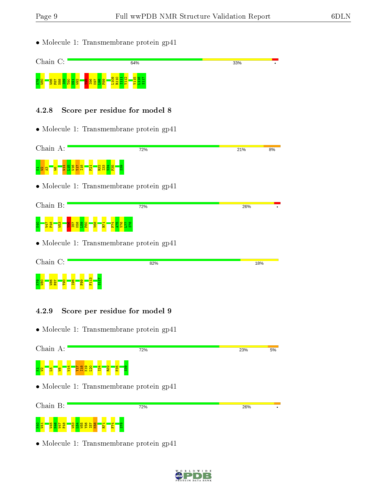• Molecule 1: Transmembrane protein gp41



#### 4.2.8 Score per residue for model 8

• Molecule 1: Transmembrane protein gp41



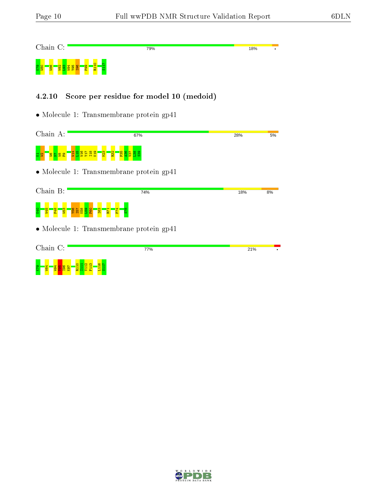Chain C: 79% **18%** R110 S117 R<mark>99 89</mark> S2 W94  $\frac{8}{26}$ I96  $\frac{8}{5}$ 

### 4.2.10 Score per residue for model 10 (medoid)

• Molecule 1: Transmembrane protein gp41

Chain A: 67% **28%** 5%  $\frac{4}{14}$ e<br>Berge  $\frac{2}{2}$  $\frac{2}{2}$  $\frac{5}{5}$  $\frac{8}{2}$  $\frac{88}{3}$ 요 알 <mark>이 알 달</mark> 요

| Chain B:                                 | 74% | 18% | 8% |
|------------------------------------------|-----|-----|----|
| K40<br><b>83</b><br><b>S3</b>            |     |     |    |
| • Molecule 1: Transmembrane protein gp41 |     |     |    |

| Chain C: |        |          |                             |   |                                          |                        | 77% | 21% |  |
|----------|--------|----------|-----------------------------|---|------------------------------------------|------------------------|-----|-----|--|
| K79      | 4<br>÷ | ၜႍ<br>нw | <b>O</b><br><u>तता सत्त</u> | ᆔ | <b>NO</b><br>$\mathbf{r}$<br><b>Page</b> | <b>O</b> h<br>ᆏ<br>പ ഗ |     |     |  |

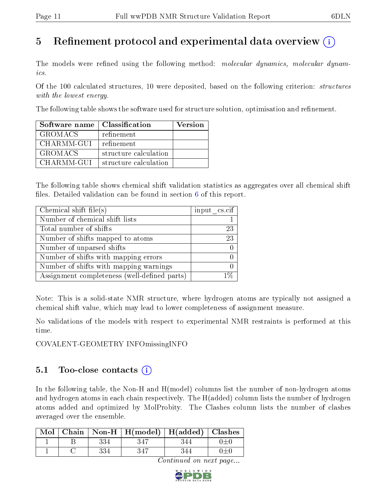# 5 Refinement protocol and experimental data overview  $\binom{1}{k}$

The models were refined using the following method: molecular dynamics, molecular dynamics.

Of the 100 calculated structures, 10 were deposited, based on the following criterion: *structures* with the lowest energy.

The following table shows the software used for structure solution, optimisation and refinement.

| Software name  | $\mid$ Classification | Version |
|----------------|-----------------------|---------|
| <b>GROMACS</b> | refinement            |         |
| CHARMM-GUI     | refinement            |         |
| <b>GROMACS</b> | structure calculation |         |
| CHARMM-GUI     | structure calculation |         |

The following table shows chemical shift validation statistics as aggregates over all chemical shift files. Detailed validation can be found in section  $6$  of this report.

| Chemical shift file $(s)$                    | input cs.cif |
|----------------------------------------------|--------------|
| Number of chemical shift lists               |              |
| Total number of shifts                       | 23           |
| Number of shifts mapped to atoms             | 23           |
| Number of unparsed shifts                    |              |
| Number of shifts with mapping errors         |              |
| Number of shifts with mapping warnings       |              |
| Assignment completeness (well-defined parts) |              |

Note: This is a solid-state NMR structure, where hydrogen atoms are typically not assigned a chemical shift value, which may lead to lower completeness of assignment measure.

No validations of the models with respect to experimental NMR restraints is performed at this time.

COVALENT-GEOMETRY INFOmissingINFO

# 5.1 Too-close contacts (i)

In the following table, the Non-H and H(model) columns list the number of non-hydrogen atoms and hydrogen atoms in each chain respectively. The H(added) column lists the number of hydrogen atoms added and optimized by MolProbity. The Clashes column lists the number of clashes averaged over the ensemble.

| Mol |     | Chain   Non-H   $H(model)$   $H(added)$   Clashes |  |
|-----|-----|---------------------------------------------------|--|
|     | 334 |                                                   |  |
|     |     |                                                   |  |

Continued on next page...

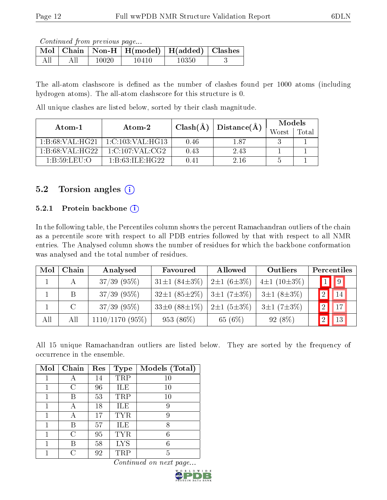Continued from previous page...

|  |       | $\boxed{\text{Mol}$ Chain   Non-H   H(model)   H(added)   Clashes |       |  |
|--|-------|-------------------------------------------------------------------|-------|--|
|  | 10020 | 10410                                                             | 10350 |  |

The all-atom clashscore is defined as the number of clashes found per 1000 atoms (including hydrogen atoms). The all-atom clashscore for this structure is 0.

All unique clashes are listed below, sorted by their clash magnitude.

| Atom-1                                                      | Atom-2                              | $Clash(\AA)$ | Distance(A) | Models |       |
|-------------------------------------------------------------|-------------------------------------|--------------|-------------|--------|-------|
|                                                             |                                     |              |             | Worst  | Total |
| 1:B:68:VAL:HG21                                             | $1:$ C $:103:$ VAL $:$ HG $13$      | 0.46         | 1.87        |        |       |
| 1:B:68:VAL:HG22                                             | $1:\mathrm{C}:107:\mathrm{VAL}:CG2$ | 0.43         | 2.43        |        |       |
| $1 \cdot B \cdot 59 \cdot I \cdot F \cdot I \cdot \bigcirc$ | 1: B: 63: ILE: HG22                 | 0.41         | 2.16        |        |       |

# 5.2 Torsion angles  $(i)$

## 5.2.1 Protein backbone  $(i)$

In the following table, the Percentiles column shows the percent Ramachandran outliers of the chain as a percentile score with respect to all PDB entries followed by that with respect to all NMR entries. The Analysed column shows the number of residues for which the backbone conformation was analysed and the total number of residues.

| Mol | Chain | Analysed          | Favoured                   | Allowed               | Outliers          | Percentiles       |
|-----|-------|-------------------|----------------------------|-----------------------|-------------------|-------------------|
|     |       | $37/39$ (95%)     | $31\pm1(84\pm3\%)$         | $2\pm1(6\pm3\%)$      | $4\pm1(10\pm3\%)$ | $1$   9           |
|     | B     | $37/39$ (95%)     | $32\pm1(85\pm2\%)$         | $3 \pm 1 (7 \pm 3\%)$ | $3\pm1(8\pm3\%)$  | $\blacksquare$ 14 |
|     |       | $37/39$ (95%)     | 33 $\pm 0$ (88 $\pm 1\%$ ) | $2\pm1(5\pm3\%)$      | $3\pm1(7\pm3\%)$  | $\vert$ 17        |
| All | All   | $1110/1170$ (95%) | 953 (86%)                  | 65 (6%)               | $92(8\%)$         | $\blacksquare$    |

All 15 unique Ramachandran outliers are listed below. They are sorted by the frequency of occurrence in the ensemble.

| Mol | Chain | Res | <b>Type</b> | Models (Total) |
|-----|-------|-----|-------------|----------------|
|     | А     | 14  | TRP         | 10             |
|     | ( )   | 96  | ILE         | 10             |
|     |       | 53  | TRP         | 10             |
|     | А     | 18  | ILE         | 9              |
| 1   |       | 17  | <b>TYR</b>  | 9              |
| 1   | R     | 57  | ILE         | 8              |
|     | C     | 95  | <b>TYR</b>  | 6              |
|     |       | 58  | <b>LYS</b>  | 6              |
|     |       | 92  | TRP         | 5              |

Continued on next page...

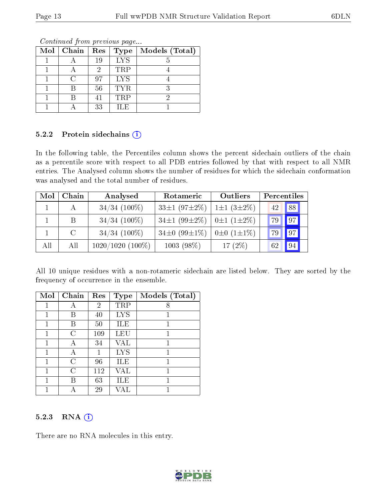| Mol | Chain | Res | <b>Type</b> | Models (Total) |
|-----|-------|-----|-------------|----------------|
|     |       | 19  | <b>LYS</b>  |                |
|     |       | 9   | TRP         |                |
|     |       | 97  | <b>LYS</b>  |                |
|     |       | 56  | <b>TYR</b>  |                |
|     |       | 41  | <b>TRP</b>  |                |
|     |       | 33  | H.E         |                |

Continued from previous page...

#### 5.2.2 Protein sidechains (i)

In the following table, the Percentiles column shows the percent sidechain outliers of the chain as a percentile score with respect to all PDB entries followed by that with respect to all NMR entries. The Analysed column shows the number of residues for which the sidechain conformation was analysed and the total number of residues.

| Mol | Chain         | Analysed           | Rotameric                 | Outliers                | Percentiles       |
|-----|---------------|--------------------|---------------------------|-------------------------|-------------------|
|     | A             | $34/34$ (100%)     | $33\pm1(97\pm2\%)$        | $1\pm1(3\pm2\%)$        | 42 88             |
|     | B.            | $34/34$ (100%)     | 34 $\pm$ 1 (99 $\pm$ 2\%) | $0 \pm 1$ $(1 \pm 2\%)$ | $\sqrt{97}$<br>79 |
|     | $\mathcal{C}$ | $34/34$ (100%)     | 34 $\pm$ 0 (99 $\pm$ 1%)  | $0\pm 0$ $(1\pm 1\%)$   | $\sqrt{97}$<br>79 |
| All | All           | $1020/1020(100\%)$ | $1003(98\%)$              | 17 $(2\%)$              | 94<br>62          |

All 10 unique residues with a non-rotameric sidechain are listed below. They are sorted by the frequency of occurrence in the ensemble.

| Mol | Chain | Res | <b>Type</b> | Models (Total) |
|-----|-------|-----|-------------|----------------|
|     |       | 2   | TRP         | 8              |
|     | В     | 40  | <b>LYS</b>  | 1              |
|     | В     | 50  | ILE         |                |
|     | C     | 109 | LEU         |                |
| 1   | А     | 34  | VAL         | 1              |
|     |       |     | <b>LYS</b>  |                |
|     | C     | 96  | ILE         |                |
|     | C     | 112 | VAL         |                |
|     | В     | 63  | ĦЕ          |                |
|     |       | 29  |             |                |

## 5.2.3 RNA (i)

There are no RNA molecules in this entry.

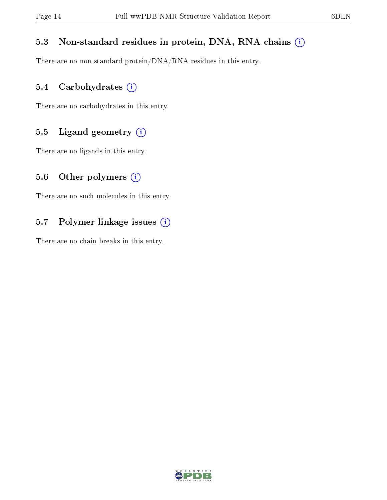# 5.3 Non-standard residues in protein, DNA, RNA chains (i)

There are no non-standard protein/DNA/RNA residues in this entry.

## 5.4 Carbohydrates (i)

There are no carbohydrates in this entry.

# 5.5 Ligand geometry  $(i)$

There are no ligands in this entry.

## 5.6 [O](https://www.wwpdb.org/validation/2017/NMRValidationReportHelp#nonstandard_residues_and_ligands)ther polymers  $(i)$

There are no such molecules in this entry.

# 5.7 Polymer linkage issues (i)

There are no chain breaks in this entry.

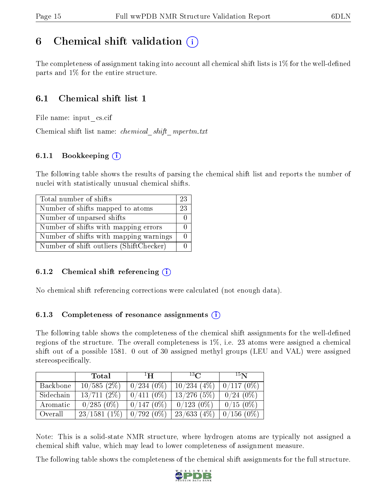# <span id="page-14-0"></span>6 Chemical shift validation  $\binom{1}{k}$

The completeness of assignment taking into account all chemical shift lists is  $1\%$  for the well-defined parts and 1% for the entire structure.

# 6.1 Chemical shift list 1

File name: input\_cs.cif

Chemical shift list name: *chemical shift mpertm.txt* 

# 6.1.1 Bookkeeping (i)

The following table shows the results of parsing the chemical shift list and reports the number of nuclei with statistically unusual chemical shifts.

| Total number of shifts                  | 23 |
|-----------------------------------------|----|
| Number of shifts mapped to atoms        | 23 |
| Number of unparsed shifts               |    |
| Number of shifts with mapping errors    |    |
| Number of shifts with mapping warnings  |    |
| Number of shift outliers (ShiftChecker) |    |

## 6.1.2 Chemical shift referencing  $(i)$

No chemical shift referencing corrections were calculated (not enough data).

## 6.1.3 Completeness of resonance assignments  $(i)$

The following table shows the completeness of the chemical shift assignments for the well-defined regions of the structure. The overall completeness is 1%, i.e. 23 atoms were assigned a chemical shift out of a possible 1581. 0 out of 30 assigned methyl groups (LEU and VAL) were assigned stereospecifically.

|           | Total          | $\mathbf{H}^{\perp}$ | $^{13}C$      | 15 <sub>N</sub> |
|-----------|----------------|----------------------|---------------|-----------------|
| Backbone  | 10/585(2%)     | $0/234(0\%)$         | 10/234(4%)    | 0/117(0%)       |
| Sidechain | 13/711(2%)     | $0/411(0\%)$         | $13/276$ (5%) | $0/24(0\%)$     |
| Aromatic  | $0/285(0\%)$   | 0/147(0%)            | $0/123(0\%)$  | $0/15(0\%)$     |
| Overall   | $23/1581(1\%)$ | $0/792(0\%)$         | 23/633(4%)    | $0/156(0\%)$    |

Note: This is a solid-state NMR structure, where hydrogen atoms are typically not assigned a chemical shift value, which may lead to lower completeness of assignment measure.

The following table shows the completeness of the chemical shift assignments for the full structure.